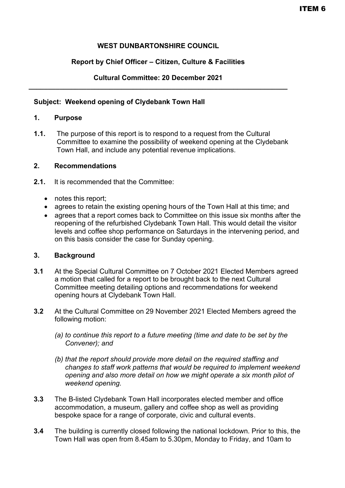# **WEST DUNBARTONSHIRE COUNCIL**

## **Report by Chief Officer – Citizen, Culture & Facilities**

#### **Cultural Committee: 20 December 2021 \_\_\_\_\_\_\_\_\_\_\_\_\_\_\_\_\_\_\_\_\_\_\_\_\_\_\_\_\_\_\_\_\_\_\_\_\_\_\_\_\_\_\_\_\_\_\_\_\_\_\_\_\_\_\_\_\_\_\_\_\_\_\_\_\_\_\_**

#### **Subject: Weekend opening of Clydebank Town Hall**

## **1. Purpose**

**1.1.** The purpose of this report is to respond to a request from the Cultural Committee to examine the possibility of weekend opening at the Clydebank Town Hall, and include any potential revenue implications.

## **2. Recommendations**

- **2.1.** It is recommended that the Committee:
	- notes this report;
	- agrees to retain the existing opening hours of the Town Hall at this time; and
	- agrees that a report comes back to Committee on this issue six months after the reopening of the refurbished Clydebank Town Hall. This would detail the visitor levels and coffee shop performance on Saturdays in the intervening period, and on this basis consider the case for Sunday opening.

#### **3. Background**

- **3.1** At the Special Cultural Committee on 7 October 2021 Elected Members agreed a motion that called for a report to be brought back to the next Cultural Committee meeting detailing options and recommendations for weekend opening hours at Clydebank Town Hall.
- **3.2** At the Cultural Committee on 29 November 2021 Elected Members agreed the following motion:
	- *(a) to continue this report to a future meeting (time and date to be set by the Convener); and*
	- *(b) that the report should provide more detail on the required staffing and changes to staff work patterns that would be required to implement weekend opening and also more detail on how we might operate a six month pilot of weekend opening.*
- **3.3** The B-listed Clydebank Town Hall incorporates elected member and office accommodation, a museum, gallery and coffee shop as well as providing bespoke space for a range of corporate, civic and cultural events.
- **3.4** The building is currently closed following the national lockdown. Prior to this, the Town Hall was open from 8.45am to 5.30pm, Monday to Friday, and 10am to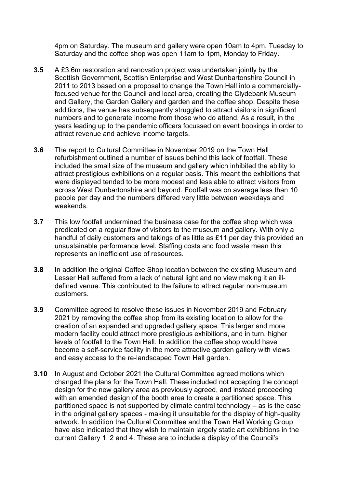4pm on Saturday. The museum and gallery were open 10am to 4pm, Tuesday to Saturday and the coffee shop was open 11am to 1pm, Monday to Friday.

- **3.5** A £3.6m restoration and renovation project was undertaken jointly by the Scottish Government, Scottish Enterprise and West Dunbartonshire Council in 2011 to 2013 based on a proposal to change the Town Hall into a commerciallyfocused venue for the Council and local area, creating the Clydebank Museum and Gallery, the Garden Gallery and garden and the coffee shop. Despite these additions, the venue has subsequently struggled to attract visitors in significant numbers and to generate income from those who do attend. As a result, in the years leading up to the pandemic officers focussed on event bookings in order to attract revenue and achieve income targets.
- **3.6** The report to Cultural Committee in November 2019 on the Town Hall refurbishment outlined a number of issues behind this lack of footfall. These included the small size of the museum and gallery which inhibited the ability to attract prestigious exhibitions on a regular basis. This meant the exhibitions that were displayed tended to be more modest and less able to attract visitors from across West Dunbartonshire and beyond. Footfall was on average less than 10 people per day and the numbers differed very little between weekdays and weekends.
- **3.7** This low footfall undermined the business case for the coffee shop which was predicated on a regular flow of visitors to the museum and gallery. With only a handful of daily customers and takings of as little as £11 per day this provided an unsustainable performance level. Staffing costs and food waste mean this represents an inefficient use of resources.
- **3.8** In addition the original Coffee Shop location between the existing Museum and Lesser Hall suffered from a lack of natural light and no view making it an illdefined venue. This contributed to the failure to attract regular non-museum customers.
- **3.9** Committee agreed to resolve these issues in November 2019 and February 2021 by removing the coffee shop from its existing location to allow for the creation of an expanded and upgraded gallery space. This larger and more modern facility could attract more prestigious exhibitions, and in turn, higher levels of footfall to the Town Hall. In addition the coffee shop would have become a self-service facility in the more attractive garden gallery with views and easy access to the re-landscaped Town Hall garden.
- **3.10** In August and October 2021 the Cultural Committee agreed motions which changed the plans for the Town Hall. These included not accepting the concept design for the new gallery area as previously agreed, and instead proceeding with an amended design of the booth area to create a partitioned space. This partitioned space is not supported by climate control technology – as is the case in the original gallery spaces - making it unsuitable for the display of high-quality artwork. In addition the Cultural Committee and the Town Hall Working Group have also indicated that they wish to maintain largely static art exhibitions in the current Gallery 1, 2 and 4. These are to include a display of the Council's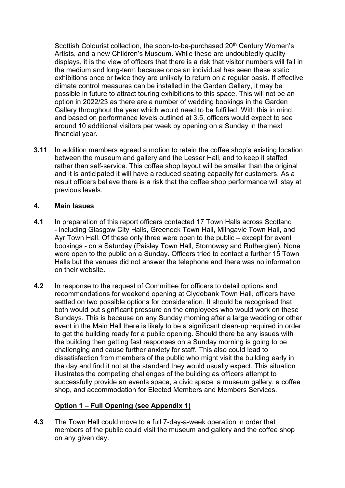Scottish Colourist collection, the soon-to-be-purchased 20<sup>th</sup> Century Women's Artists, and a new Children's Museum. While these are undoubtedly quality displays, it is the view of officers that there is a risk that visitor numbers will fall in the medium and long-term because once an individual has seen these static exhibitions once or twice they are unlikely to return on a regular basis. If effective climate control measures can be installed in the Garden Gallery, it may be possible in future to attract touring exhibitions to this space. This will not be an option in 2022/23 as there are a number of wedding bookings in the Garden Gallery throughout the year which would need to be fulfilled. With this in mind, and based on performance levels outlined at 3.5, officers would expect to see around 10 additional visitors per week by opening on a Sunday in the next financial year.

**3.11** In addition members agreed a motion to retain the coffee shop's existing location between the museum and gallery and the Lesser Hall, and to keep it staffed rather than self-service. This coffee shop layout will be smaller than the original and it is anticipated it will have a reduced seating capacity for customers. As a result officers believe there is a risk that the coffee shop performance will stay at previous levels.

## **4. Main Issues**

- **4.1** In preparation of this report officers contacted 17 Town Halls across Scotland - including Glasgow City Halls, Greenock Town Hall, Milngavie Town Hall, and Ayr Town Hall. Of these only three were open to the public – except for event bookings - on a Saturday (Paisley Town Hall, Stornoway and Rutherglen). None were open to the public on a Sunday. Officers tried to contact a further 15 Town Halls but the venues did not answer the telephone and there was no information on their website.
- **4.2** In response to the request of Committee for officers to detail options and recommendations for weekend opening at Clydebank Town Hall, officers have settled on two possible options for consideration. It should be recognised that both would put significant pressure on the employees who would work on these Sundays. This is because on any Sunday morning after a large wedding or other event in the Main Hall there is likely to be a significant clean-up required in order to get the building ready for a public opening. Should there be any issues with the building then getting fast responses on a Sunday morning is going to be challenging and cause further anxiety for staff. This also could lead to dissatisfaction from members of the public who might visit the building early in the day and find it not at the standard they would usually expect. This situation illustrates the competing challenges of the building as officers attempt to successfully provide an events space, a civic space, a museum gallery, a coffee shop, and accommodation for Elected Members and Members Services.

# **Option 1 – Full Opening (see Appendix 1)**

**4.3** The Town Hall could move to a full 7-day-a-week operation in order that members of the public could visit the museum and gallery and the coffee shop on any given day.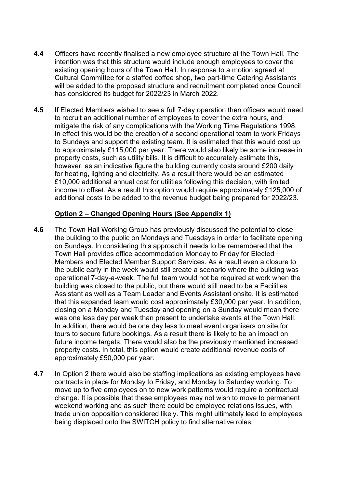- **4.4** Officers have recently finalised a new employee structure at the Town Hall. The intention was that this structure would include enough employees to cover the existing opening hours of the Town Hall. In response to a motion agreed at Cultural Committee for a staffed coffee shop, two part-time Catering Assistants will be added to the proposed structure and recruitment completed once Council has considered its budget for 2022/23 in March 2022.
- **4.5** If Elected Members wished to see a full 7-day operation then officers would need to recruit an additional number of employees to cover the extra hours, and mitigate the risk of any complications with the Working Time Regulations 1998. In effect this would be the creation of a second operational team to work Fridays to Sundays and support the existing team. It is estimated that this would cost up to approximately £115,000 per year. There would also likely be some increase in property costs, such as utility bills. It is difficult to accurately estimate this, however, as an indicative figure the building currently costs around £200 daily for heating, lighting and electricity. As a result there would be an estimated £10,000 additional annual cost for utilities following this decision, with limited income to offset. As a result this option would require approximately £125,000 of additional costs to be added to the revenue budget being prepared for 2022/23.

## **Option 2 – Changed Opening Hours (See Appendix 1)**

- **4.6** The Town Hall Working Group has previously discussed the potential to close the building to the public on Mondays and Tuesdays in order to facilitate opening on Sundays. In considering this approach it needs to be remembered that the Town Hall provides office accommodation Monday to Friday for Elected Members and Elected Member Support Services. As a result even a closure to the public early in the week would still create a scenario where the building was operational 7-day-a-week. The full team would not be required at work when the building was closed to the public, but there would still need to be a Facilities Assistant as well as a Team Leader and Events Assistant onsite. It is estimated that this expanded team would cost approximately £30,000 per year. In addition, closing on a Monday and Tuesday and opening on a Sunday would mean there was one less day per week than present to undertake events at the Town Hall. In addition, there would be one day less to meet event organisers on site for tours to secure future bookings. As a result there is likely to be an impact on future income targets. There would also be the previously mentioned increased property costs. In total, this option would create additional revenue costs of approximately £50,000 per year.
- **4.7** In Option 2 there would also be staffing implications as existing employees have contracts in place for Monday to Friday, and Monday to Saturday working. To move up to five employees on to new work patterns would require a contractual change. It is possible that these employees may not wish to move to permanent weekend working and as such there could be employee relations issues, with trade union opposition considered likely. This might ultimately lead to employees being displaced onto the SWITCH policy to find alternative roles.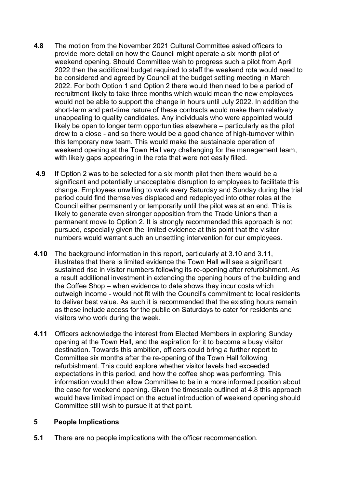- **4.8** The motion from the November 2021 Cultural Committee asked officers to provide more detail on how the Council might operate a six month pilot of weekend opening. Should Committee wish to progress such a pilot from April 2022 then the additional budget required to staff the weekend rota would need to be considered and agreed by Council at the budget setting meeting in March 2022. For both Option 1 and Option 2 there would then need to be a period of recruitment likely to take three months which would mean the new employees would not be able to support the change in hours until July 2022. In addition the short-term and part-time nature of these contracts would make them relatively unappealing to quality candidates. Any individuals who were appointed would likely be open to longer term opportunities elsewhere – particularly as the pilot drew to a close - and so there would be a good chance of high-turnover within this temporary new team. This would make the sustainable operation of weekend opening at the Town Hall very challenging for the management team, with likely gaps appearing in the rota that were not easily filled.
- **4.9** If Option 2 was to be selected for a six month pilot then there would be a significant and potentially unacceptable disruption to employees to facilitate this change. Employees unwilling to work every Saturday and Sunday during the trial period could find themselves displaced and redeployed into other roles at the Council either permanently or temporarily until the pilot was at an end. This is likely to generate even stronger opposition from the Trade Unions than a permanent move to Option 2. It is strongly recommended this approach is not pursued, especially given the limited evidence at this point that the visitor numbers would warrant such an unsettling intervention for our employees.
- **4.10** The background information in this report, particularly at 3.10 and 3.11, illustrates that there is limited evidence the Town Hall will see a significant sustained rise in visitor numbers following its re-opening after refurbishment. As a result additional investment in extending the opening hours of the building and the Coffee Shop – when evidence to date shows they incur costs which outweigh income - would not fit with the Council's commitment to local residents to deliver best value. As such it is recommended that the existing hours remain as these include access for the public on Saturdays to cater for residents and visitors who work during the week.
- **4.11** Officers acknowledge the interest from Elected Members in exploring Sunday opening at the Town Hall, and the aspiration for it to become a busy visitor destination. Towards this ambition, officers could bring a further report to Committee six months after the re-opening of the Town Hall following refurbishment. This could explore whether visitor levels had exceeded expectations in this period, and how the coffee shop was performing. This information would then allow Committee to be in a more informed position about the case for weekend opening. Given the timescale outlined at 4.8 this approach would have limited impact on the actual introduction of weekend opening should Committee still wish to pursue it at that point.

#### **5 People Implications**

**5.1** There are no people implications with the officer recommendation.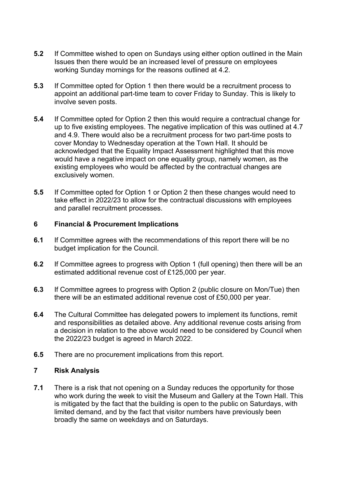- **5.2** If Committee wished to open on Sundays using either option outlined in the Main Issues then there would be an increased level of pressure on employees working Sunday mornings for the reasons outlined at 4.2.
- **5.3** If Committee opted for Option 1 then there would be a recruitment process to appoint an additional part-time team to cover Friday to Sunday. This is likely to involve seven posts.
- **5.4** If Committee opted for Option 2 then this would require a contractual change for up to five existing employees. The negative implication of this was outlined at 4.7 and 4.9. There would also be a recruitment process for two part-time posts to cover Monday to Wednesday operation at the Town Hall. It should be acknowledged that the Equality Impact Assessment highlighted that this move would have a negative impact on one equality group, namely women, as the existing employees who would be affected by the contractual changes are exclusively women.
- **5.5** If Committee opted for Option 1 or Option 2 then these changes would need to take effect in 2022/23 to allow for the contractual discussions with employees and parallel recruitment processes.

#### **6 Financial & Procurement Implications**

- **6.1** If Committee agrees with the recommendations of this report there will be no budget implication for the Council.
- **6.2** If Committee agrees to progress with Option 1 (full opening) then there will be an estimated additional revenue cost of £125,000 per year.
- **6.3** If Committee agrees to progress with Option 2 (public closure on Mon/Tue) then there will be an estimated additional revenue cost of £50,000 per year.
- **6.4** The Cultural Committee has delegated powers to implement its functions, remit and responsibilities as detailed above. Any additional revenue costs arising from a decision in relation to the above would need to be considered by Council when the 2022/23 budget is agreed in March 2022.
- **6.5** There are no procurement implications from this report.

#### **7 Risk Analysis**

**7.1** There is a risk that not opening on a Sunday reduces the opportunity for those who work during the week to visit the Museum and Gallery at the Town Hall. This is mitigated by the fact that the building is open to the public on Saturdays, with limited demand, and by the fact that visitor numbers have previously been broadly the same on weekdays and on Saturdays.